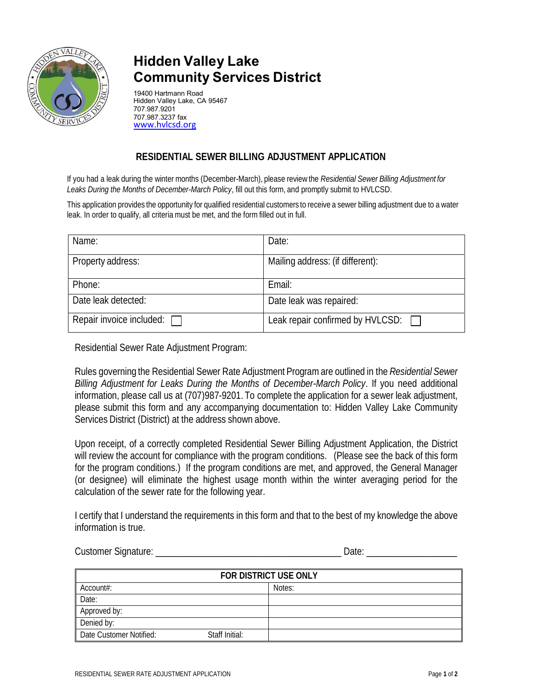

## **Hidden Valley Lake Community Services District**

19400 Hartmann Road Hidden Valley Lake, CA 95467 707.987.9201 707.987.3237 fax www.hvlcsd.org

## **RESIDENTIAL SEWER BILLING ADJUSTMENT APPLICATION**

If you had a leak during the winter months (December-March), please review the *Residential Sewer Billing Adjustment for Leaks During the Months of December-March Policy*, fill out this form, and promptly submit to HVLCSD.

This application provides the opportunity for qualified residential customers to receive a sewer billing adjustment due to a water leak. In order to qualify, all criteria must be met, and the form filled out in full.

| Name:                           | Date:                                   |
|---------------------------------|-----------------------------------------|
| Property address:               | Mailing address: (if different):        |
| Phone:                          | Email:                                  |
| Date leak detected:             | Date leak was repaired:                 |
| Repair invoice included: $\Box$ | Leak repair confirmed by HVLCSD: $\Box$ |

Residential Sewer Rate Adjustment Program:

Rules governing the Residential Sewer Rate Adjustment Program are outlined in the *Residential Sewer Billing Adjustment for Leaks During the Months of December-March Policy*. If you need additional information, please call us at (707)987-9201. To complete the application for a sewer leak adjustment, please submit this form and any accompanying documentation to: Hidden Valley Lake Community Services District (District) at the address shown above.

Upon receipt, of a correctly completed Residential Sewer Billing Adjustment Application, the District will review the account for compliance with the program conditions. (Please see the back of this form for the program conditions.) If the program conditions are met, and approved, the General Manager (or designee) will eliminate the highest usage month within the winter averaging period for the calculation of the sewer rate for the following year.

I certify that I understand the requirements in this form and that to the best of my knowledge the above information is true.

Customer Signature: \_\_\_\_\_\_\_\_\_\_\_\_\_\_\_\_\_\_\_\_\_\_\_\_\_\_\_\_\_\_\_\_\_\_\_\_\_\_\_ Date: \_\_\_\_\_\_\_\_\_\_\_\_\_\_\_\_\_\_\_

| <b>FOR DISTRICT USE ONLY</b> |                |        |
|------------------------------|----------------|--------|
| Account#:                    |                | Notes: |
| Date:                        |                |        |
| Approved by:                 |                |        |
| Denied by:                   |                |        |
| Date Customer Notified:      | Staff Initial: |        |